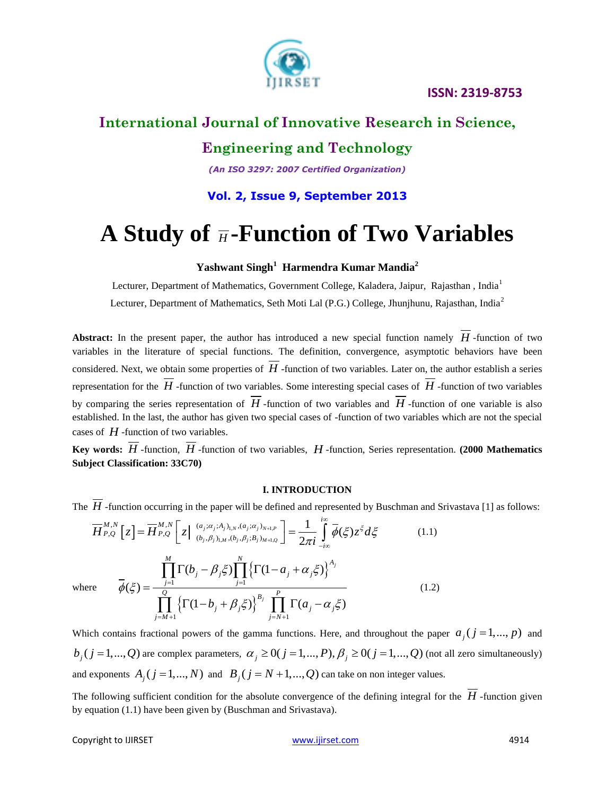



## **International Journal of Innovative Research in Science,**

## **Engineering and Technology**

*(An ISO 3297: 2007 Certified Organization)*

## **Vol. 2, Issue 9, September 2013**

# A Study of  $\overline{H}$ -Function of Two Variables

#### **Yashwant Singh<sup>1</sup> Harmendra Kumar Mandia<sup>2</sup>**

Lecturer, Department of Mathematics, Government College, Kaladera, Jaipur, Rajasthan, India<sup>1</sup> Lecturer, Department of Mathematics, Seth Moti Lal (P.G.) College, Jhunjhunu, Rajasthan, India<sup>2</sup>

**Abstract:** In the present paper, the author has introduced a new special function namely *H* -function of two variables in the literature of special functions. The definition, convergence, asymptotic behaviors have been considered. Next, we obtain some properties of  $H$  -function of two variables. Later on, the author establish a series representation for the *H* -function of two variables. Some interesting special cases of *H* -function of two variables by comparing the series representation of  $H$  -function of two variables and  $H$  -function of one variable is also established. In the last, the author has given two special cases of -function of two variables which are not the special cases of  $H$  -function of two variables.

Key words: *H* -function, *H* -function of two variables, *H* -function, Series representation. (2000 Mathematics **Subject Classification: 33C70)**

#### **I. INTRODUCTION**

The *H* -function occurring in the paper will be defined and represented by Buschman and Srivastava [1] as follows:

The *H*-function occurring in the paper will be defined and represented by Buschman and S  
\n
$$
\overline{H}_{P,Q}^{M,N} [z] = \overline{H}_{P,Q}^{M,N} [z] \left[ z \mid \frac{(a_j; \alpha_j; A_j)_{1,N}, (a_j; \alpha_j)_{N+1,P}}{(b_j, \beta_j)_{1,M}, (b_j, \beta_j; B_j)_{M+1,Q}} \right] = \frac{1}{2\pi i} \int_{-i\infty}^{i\infty} \overline{\phi}(\xi) z^{\xi} d\xi
$$
\n(1.1)  
\nwhere 
$$
\overline{\phi}(\xi) = \frac{\prod_{j=1}^{M} \Gamma(b_j - \beta_j \xi) \prod_{j=1}^{N} \left\{ \Gamma(1 - a_j + \alpha_j \xi) \right\}^{A_j}}{\prod_{j=M+1}^{Q} \left\{ \Gamma(1 - b_j + \beta_j \xi) \right\}^{B_j} \prod_{j=N+1}^{P} \Gamma(a_j - \alpha_j \xi)}
$$
\n(1.2)

Which contains fractional powers of the gamma functions. Here, and throughout the paper  $a_j$  ( $j = 1,..., p$ ) and which contains fractional powers of the gamma functions. Here, and throughout the paper  $a_j$  ( $j = 1,..., p$ ) and  $b_j$  ( $j = 1,..., Q$ ) are complex parameters,  $\alpha_j \ge 0$  ( $j = 1,..., p$ ),  $\beta_j \ge 0$  ( $j = 1,..., Q$ ) (not all zero simultaneous and exponents  $A_j$  ( $j = 1,..., N$ ) and  $B_j$  ( $j = N + 1,..., Q$ ) can take on non integer values.

The following sufficient condition for the absolute convergence of the defining integral for the *H* -function given by equation (1.1) have been given by (Buschman and Srivastava).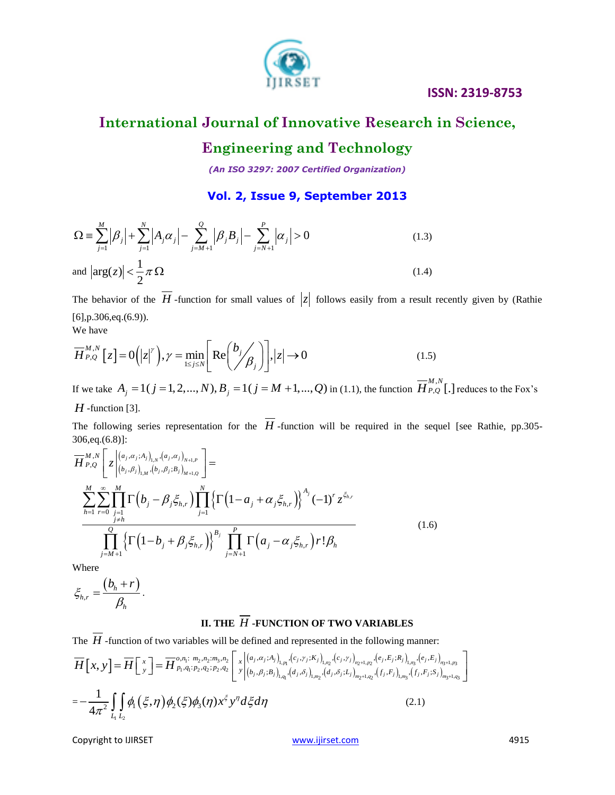

## **International Journal of Innovative Research in Science,**

## **Engineering and Technology**

*(An ISO 3297: 2007 Certified Organization)*

**Vol. 2, Issue 9, September 2013**

$$
\text{Vol. 2, Issue 9, September 2013}
$$
\n
$$
\Omega = \sum_{j=1}^{M} \left| \beta_j \right| + \sum_{j=1}^{N} \left| A_j \alpha_j \right| - \sum_{j=M+1}^{Q} \left| \beta_j B_j \right| - \sum_{j=N+1}^{P} \left| \alpha_j \right| > 0 \tag{1.3}
$$
\n
$$
\text{and } \left| \arg(z) \right| < \frac{1}{2} \pi \Omega \tag{1.4}
$$

The behavior of the H-function for small values of  $|z|$  follows easily from a result recently given by (Rathie [6],p.306,eq.(6.9)). We have

We have  
\n
$$
\overline{H}_{P,Q}^{M,N} [z] = O(|z|^{\gamma}), \gamma = \min_{1 \le j \le N} \left[ \text{Re} \left( \frac{b_j}{\beta_j} \right) \right], |z| \to 0 \tag{1.5}
$$

If we take  $A_j = 1(j = 1, 2, ..., N), B_j = 1(j = M + 1, ..., Q)$  in (1.1), the function  $\overline{H}_{P,Q}^{M,N}$ [.] reduces to the Fox's *H* -function [3].

The following series representation for the *H* -function will be required in the sequel [see Rathie, pp.305- 306,eq.(6.8)]:

500,eq.(0.8)].  
\n
$$
\overline{H}_{P,Q}^{M,N} \left[ z \Big|_{(b_j, \beta_j)_{1,N}, (b_j, \beta_j; B_j)_{M+1,Q}}^{(a_j, \alpha_j; A_j)_{1,N}, (a_j, \alpha_j)_{N+1,P}} \right] =
$$
\n
$$
\sum_{h=1}^{M} \sum_{r=0}^{\infty} \prod_{\substack{j=1 \ j \neq h}}^{M} \Gamma(b_j - \beta_j \xi_{h,r}) \prod_{j=1}^{N} \left\{ \Gamma(1 - a_j + \alpha_j \xi_{h,r}) \right\}^{A_j} (-1)^r z^{\xi_{h,r}}
$$
\n
$$
\prod_{j=M+1}^{Q} \left\{ \Gamma(1 - b_j + \beta_j \xi_{h,r}) \right\}^{B_j} \prod_{j=N+1}^{P} \Gamma(a_j - \alpha_j \xi_{h,r}) r! \beta_h
$$
\n(1.6)

Where

$$
\xi_{h,r}=\frac{(b_h+r)}{\beta_h}.
$$

#### **II. THE** *H* **-FUNCTION OF TWO VARIABLES**

**11. THE** 
$$
\overline{H}
$$
**-FUNCTION OF TWO VARIABLES**  
\nThe  $\overline{H}$ **-function of two variables will be defined and represented in the following manner:**  
\n
$$
\overline{H}[x, y] = \overline{H} \begin{bmatrix} x \\ y \end{bmatrix} = \overline{H} \begin{bmatrix} x \\ y \end{bmatrix} = \overline{H} \begin{bmatrix} x \\ p_1, q_1: p_2, q_2: p_3, n_2 \end{bmatrix} \begin{bmatrix} x \\ x \\ y \end{bmatrix} \begin{bmatrix} (a_j, \alpha_j; A_j)_{1, p_1}, (c_j, r_j; K_j)_{1, p_2}, (e_j, F_j)_{1, p_3}, (e_j, E_j)_{1, q_3}, (e_j, E_j)_{1, q_3}, (e_j, E_j)_{1, q_3}, (e_j, E_j)_{1, q_3}, (e_j, E_j)_{1, q_3}, (e_j, E_j)_{1, q_3}, (e_j, E_j)_{1, q_3}, (e_j, E_j)_{1, q_3}, (e_j, E_j)_{1, q_3}, (e_j, E_j)_{1, q_3}, (e_j, E_j)_{1, q_3}, (e_j, E_j)_{1, q_3}, (e_j, E_j)_{1, q_3}, (e_j, E_j)_{1, q_3}, (e_j, E_j)_{1, q_3}, (e_j, E_j)_{1, q_3}, (e_j, E_j)_{1, q_3}, (e_j, E_j)_{1, q_3}, (e_j, E_j)_{1, q_3}, (e_j, E_j)_{1, q_3}, (e_j, E_j)_{1, q_3}, (e_j, E_j)_{1, q_3}, (e_j, E_j)_{1, q_3}, (e_j, E_j)_{1, q_3}, (e_j, E_j)_{1, q_3}, (e_j, E_j)_{1, q_3}, (e_j, E_j)_{1, q_3}, (e_j, E_j)_{1, q_3}, (e_j, E_j)_{1, q_3}, (e_j, E_j)_{1, q_3}, (e_j, E_j)_{1, q_3}, (e_j, E_j)_{1, q_3}, (e_j, E_j)_{1, q_3}, (e_j, E_j)_{1, q_3}, (e_j, E_j)_{1, q_3}, (e_j, E_j)_{1, q_3}, (e_j, E_j)_{1, q_3}, (e_j, E_j)_{1, q
$$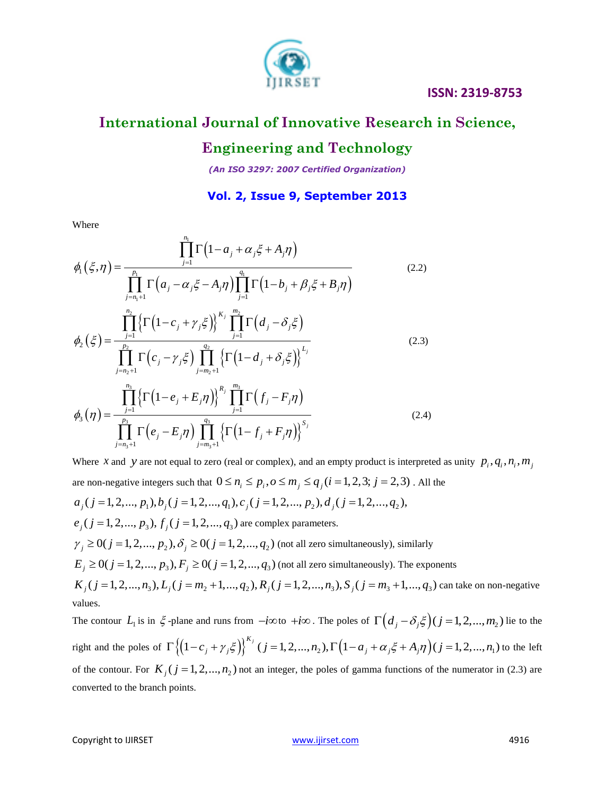

## **International Journal of Innovative Research in Science,**

## **Engineering and Technology**

*(An ISO 3297: 2007 Certified Organization)*

### **Vol. 2, Issue 9, September 2013**

Where

Where  
\n
$$
\phi_{1}(\xi,\eta) = \frac{\prod_{j=1}^{n_{1}}\Gamma(1-a_{j} + \alpha_{j}\xi + A_{j}\eta)}{\prod_{j=1}^{n_{1}}\Gamma(a_{j} - \alpha_{j}\xi - A_{j}\eta)\prod_{j=1}^{q_{1}}\Gamma(1-b_{j} + \beta_{j}\xi + B_{j}\eta)}
$$
\n
$$
\phi_{2}(\xi) = \frac{\prod_{j=1}^{n_{2}}\left\{\Gamma(1-c_{j} + \gamma_{j}\xi)\right\}^{K_{j}}\prod_{j=1}^{m_{2}}\Gamma(d_{j} - \delta_{j}\xi)}{\prod_{j=n_{2}+1}^{n_{2}}\Gamma(c_{j} - \gamma_{j}\xi)\prod_{j=m_{2}+1}^{q_{2}}\left\{\Gamma(1-d_{j} + \delta_{j}\xi)\right\}^{L_{j}}}
$$
\n
$$
\phi_{3}(\eta) = \frac{\prod_{j=1}^{n_{3}}\left\{\Gamma(1-e_{j} + E_{j}\eta)\right\}^{R_{j}}\prod_{j=1}^{m_{3}}\Gamma(f_{j} - F_{j}\eta)}{\prod_{j=n_{3}+1}^{n_{3}}\Gamma(e_{j} - E_{j}\eta)\prod_{j=m_{3}+1}^{q_{3}}\left\{\Gamma(1-f_{j} + F_{j}\eta)\right\}^{S_{j}}}
$$
\n(2.4)

Where *x* and *y* are not equal to zero (real or complex), and an empty product is interpreted as unity  $p_i, q_i, n_i, m_j$ Where *x* and *y* are not equal to zero (real or complex), and an empty product is interpreted a are non-negative integers such that  $0 \le n_i \le p_i$ ,  $o \le m_j \le q_j$  ( $i = 1, 2, 3; j = 2, 3$ ). All the Where *X* and *y* are not equal to zero (real or complex), and an empty product is int<br>are non-negative integers such that  $0 \le n_i \le p_i$ ,  $o \le m_j \le q_j$   $(i = 1, 2, 3; j = 2, 3)$ <br> $a_j$   $(j = 1, 2, ..., p_1)$ ,  $b_j$   $(j = 1, 2, ..., q_1)$ ,  $c_j$   $(j$  $a_j$ (*j* = 1, 2,...,  $p_1$ *)*,  $b_j$ (*j* = 1, 2,...,  $q_1$ *)*,  $c_j$ (*j* = 1, 2,...,  $p_2$ *)*,  $a_j$ (*e<sub>j</sub>*(*j* = 1, 2,...,  $p_3$ ),  $f_j$ (*j* = 1, 2,...,  $q_3$ ) are complex parameters.  $e_j$  (  $j = 1, 2, ..., p_3$  ),  $f_j$  (  $j = 1, 2, ..., q_3$  ) are complex parameters.<br>  $\gamma_j \ge 0$  (  $j = 1, 2, ..., p_2$  ),  $\delta_j \ge 0$  (  $j = 1, 2, ..., q_2$  ) (not all zero simultaneously), similarly  $\gamma_j \ge 0$ ( $j = 1, 2, ..., p_2$ ),  $\delta_j \ge 0$ ( $j = 1, 2, ..., q_2$ ) (not all zero simultaneously), similarly<br>  $E_j \ge 0$ ( $j = 1, 2, ..., p_3$ ),  $F_j \ge 0$ ( $j = 1, 2, ..., q_3$ ) (not all zero simultaneously). The exponents  $\gamma_j \ge 0$ ( $j = 1, 2, ..., p_2$ ),  $\delta_j \ge 0$ ( $j = 1, 2, ..., q_2$ ) (not all zero simultaneously), similarly<br>  $E_j \ge 0$ ( $j = 1, 2, ..., p_3$ ),  $F_j \ge 0$ ( $j = 1, 2, ..., q_3$ ) (not all zero simultaneously). The exponents<br>  $K_j$ ( $j = 1, 2, ..., n_3$ ),  $L_j$ ( $j$  $K_i$  ( $j = 1, 2, ..., n_3$ ),  $L_i$  ( $j = m_2 + 1, ..., q_2$ ),  $R_i$  ( $j = 1, 2, ..., n_3$ ),  $S_i$  ( $j = m_3 + 1, ..., q_3$ ) can take on non-negative values.

The contour  $L_1$  is in  $\xi$ -plane and runs from  $-i\infty$  to  $+i\infty$ . The poles of  $\Gamma\left(d_j - \delta_j \xi\right)$   $(j = 1, 2, ..., m_2)$  lie to the right and the poles of blane and runs from  $-i\infty$  to  $+i\infty$ . The poles of  $\Gamma((d_j - \delta_j \xi)(j = 1, 2, ..., m_2))$ <br>  $\{(1-c_j + \gamma_j \xi)\}^{K_j} (j = 1, 2, ..., n_2), \Gamma((1 - a_j + \alpha_j \xi + A_j \eta)(j = 1, 2, ..., n_1))$ *K j* -plane and runs from  $-i\infty$  *to*  $+i\infty$ . The poles of  $\Gamma((d_j - \delta_j \xi)(j = 1, 2, ..., m_2))$ <br> $\Gamma\{(1-c_j + \gamma_j \xi)\}^{K_j}$   $(j = 1, 2, ..., n_2), \Gamma(1 - a_j + \alpha_j \xi + A_j \eta)(j = 1, 2, ..., n_1)$ to the left of the contour. For  $K_j$  ( $j = 1, 2, ..., n_2$ ) not an integer, the poles of gamma functions of the numerator in (2.3) are converted to the branch points.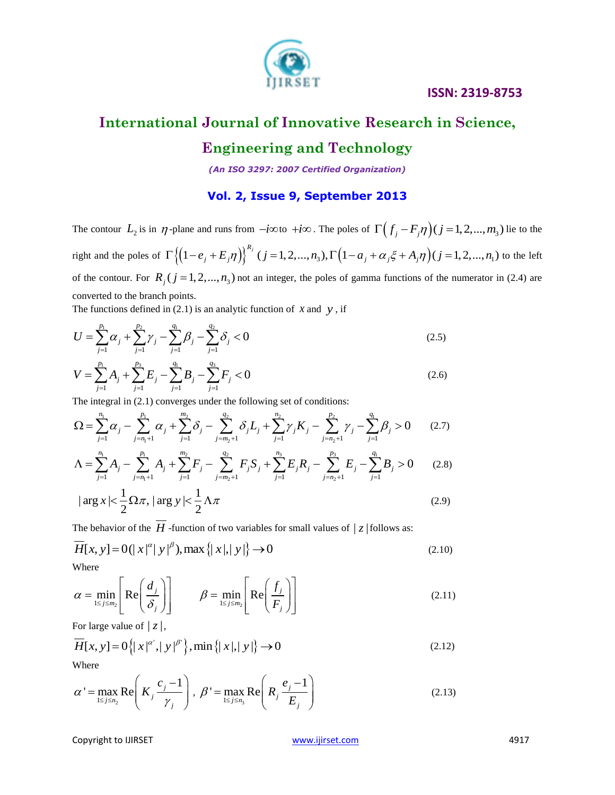

## **International Journal of Innovative Research in Science,**

## **Engineering and Technology**

*(An ISO 3297: 2007 Certified Organization)*

### **Vol. 2, Issue 9, September 2013**

The contour  $L_2$  is in  $\eta$ -plane and runs from  $-i\infty$  to  $+i\infty$ . The poles of  $\Gamma((f_j - F_j \eta)(j = 1, 2, ..., m_3))$  lie to the right and the poles of plane and runs from  $-i\infty$  to  $+i\infty$ . The poles of  $\Gamma((f_j - F_j \eta)(j = 1, 2, ..., m_3))$ <br>  $\{(1 - e_j + E_j \eta)\}^{R_j} (j = 1, 2, ..., n_3), \Gamma((1 - a_j + \alpha_j \xi + A_j \eta)(j = 1, 2, ..., n_1))$ *Rj j*-plane and runs from  $-i\infty$  to  $+i\infty$ . The poles of  $\Gamma((f_j - F_j \eta)(j = 1, 2, ..., m_3))$ <br> $\Gamma\{(1 - e_j + E_j \eta)\}^{R_j}$   $(j = 1, 2, ..., n_3)$ ,  $\Gamma((1 - a_j + \alpha_j \xi + A_j \eta)(j = 1, 2, ..., n_1))$ to the left of the contour. For  $R_j$  ( $j = 1, 2, ..., n_3$ ) not an integer, the poles of gamma functions of the numerator in (2.4) are converted to the branch points.

The functions defined in (2.1) is an analytic function of *x* and *y*, if  
\n
$$
U = \sum_{j=1}^{p_1} \alpha_j + \sum_{j=1}^{p_2} \gamma_j - \sum_{j=1}^{q_1} \beta_j - \sum_{j=1}^{q_2} \delta_j < 0
$$
\n(2.5)

$$
V = \sum_{j=1}^{p_1} A_j + \sum_{j=1}^{p_3} E_j - \sum_{j=1}^{q_1} B_j - \sum_{j=1}^{q_3} F_j < 0
$$
 (2.6)

$$
V = \sum_{j=1}^{p_1} A_j + \sum_{j=1}^{p_3} E_j - \sum_{j=1}^{q_1} B_j - \sum_{j=1}^{q_3} F_j < 0
$$
\nThe integral in (2.1) converges under the following set of conditions:

\n
$$
\Omega = \sum_{j=1}^{n_1} \alpha_j - \sum_{j=n_1+1}^{p_1} \alpha_j + \sum_{j=1}^{m_2} \delta_j - \sum_{j=m_2+1}^{q_2} \delta_j L_j + \sum_{j=1}^{n_2} \gamma_j K_j - \sum_{j=n_2+1}^{p_2} \gamma_j - \sum_{j=1}^{q_1} \beta_j > 0
$$
\n(2.7)

\n
$$
\Lambda = \sum_{j=1}^{n_1} A_j - \sum_{j=n_1+1}^{p_1} A_j + \sum_{j=1}^{m_2} F_j - \sum_{j=m_2+1}^{q_2} F_j S_j + \sum_{j=1}^{n_3} E_j R_j - \sum_{j=n_2+1}^{p_3} E_j - \sum_{j=1}^{q_1} B_j > 0
$$
\n(2.8)

$$
\Lambda = \sum_{j=1}^{n_1} A_j - \sum_{j=n_1+1}^{p_1} A_j + \sum_{j=1}^{m_2} F_j - \sum_{j=m_2+1}^{q_2} F_j S_j + \sum_{j=1}^{n_3} E_j R_j - \sum_{j=n_2+1}^{p_3} E_j - \sum_{j=1}^{q_1} B_j > 0 \qquad (2.8)
$$
  

$$
|\arg x| < \frac{1}{2} \Omega \pi, |\arg y| < \frac{1}{2} \Lambda \pi
$$
 (2.9)

The behavior of the *H*-function of two variables for small values of 
$$
|z|
$$
 follows as:  
\n
$$
\overline{H}[x, y] = O(|x|^{\alpha} |y|^{\beta}), \max\{|x|, |y|\} \to 0
$$
\n(2.10)

Where

$$
\alpha = \min_{1 \le j \le m_2} \left[ \text{Re} \left( \frac{d_j}{\delta_j} \right) \right] \qquad \beta = \min_{1 \le j \le m_2} \left[ \text{Re} \left( \frac{f_j}{F_j} \right) \right]
$$
(2.11)

For large value of 
$$
|z|
$$
,  
\n
$$
\overline{H}[x, y] = O\left\{ |x|^{\alpha'}, |y|^{\beta'} \right\}, \min\left\{ |x|, |y| \right\} \to 0
$$
\n(2.12)

Where

$$
\alpha' = \max_{1 \le j \le n_2} \text{Re}\left(K_j \frac{c_j - 1}{\gamma_j}\right), \ \beta' = \max_{1 \le j \le n_3} \text{Re}\left(R_j \frac{e_j - 1}{E_j}\right) \tag{2.13}
$$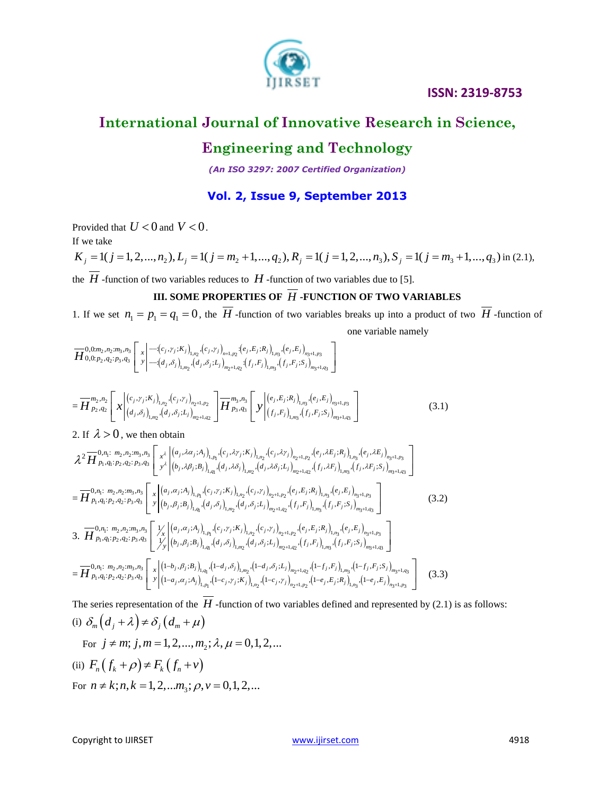

## **International Journal of Innovative Research in Science,**

## **Engineering and Technology**

*(An ISO 3297: 2007 Certified Organization)*

#### **Vol. 2, Issue 9, September 2013**

Provided that  $U < 0$  and  $V < 0$ .

If we take

Provided that  $U < 0$  and  $V < 0$ .<br>
If we take<br>  $K_j = 1(j = 1, 2, ..., n_2), L_j = 1(j = m_2 + 1, ..., q_2), R_j = 1(j = 1, 2, ..., n_3), S_j = 1(j = m_3 + 1, ..., q_3)$  in (2.1) in (2.1),

the  $H$ -function of two variables reduces to  $H$ -function of two variables due to [5].

#### **III. SOME PROPERTIES OF** *H* **-FUNCTION OF TWO VARIABLES**

1. If we set  $n_1 = p_1 = q_1 = 0$ , the  $\overline{H}$  -function of two variables breaks up into a product of two  $\overline{H}$  -function of one variable namely<br>  $\overline{H}^{0,0,m_2,n_2,m_3,n_3}_{0,0;\dots,n_2;\dots,n_3,\dots,n_4}$ one variable namely

one var  
\n
$$
\overline{H}_{0,0;p_{2},q_{2};p_{3},q_{3}}^{0,\underline{m_{2},m_{3},n_{3}}}\left[\left[x\left|-\left(c_{j},\gamma_{j};K_{j}\right)_{1,n_{2}},\left(c_{j},\gamma_{j}\right)_{n+1,p_{2}}:\left(e_{j},E_{j};R_{j}\right)_{1,n_{3}},\left(e_{j},E_{j}\right)_{n_{3}+1,p_{3}}\right]\right]
$$
\none var  
\n
$$
H_{0,0;p_{2},q_{2};p_{3},q_{3}}^{0,\underline{m_{3},m_{3}}}\left[\left[x\left|-\left(d_{j},\delta_{j}\right)_{1,m_{2}},\left(d_{j},\delta_{j};L_{j}\right)_{m_{2}+1,q_{2}}:\left(f_{j},F_{j}\right)_{1,m_{3}},\left(f_{j},F_{j};S_{j}\right)_{m_{3}+1,q_{3}}\right]\right]
$$

$$
= \overline{H}^{m_{2},n_{2}}_{p_{2},q_{2}}\left[x\Big| \begin{array}{c} (c_{j},\gamma_{j};K_{j})_{1,m_{2}},(a_{j},\delta_{j};L_{j})_{m_{2}+1,q_{2}}; (J_{j},F_{j})_{1,m_{3}},(J_{j},F_{j};S_{j})_{m_{3}+1,q_{3}} \\ (c_{j},\gamma_{j};K_{j})_{1,n_{2}},(c_{j},\gamma_{j})_{n_{2}+1,p_{2}} \\ (d_{j},\delta_{j})_{1,m_{2}},(d_{j},\delta_{j};L_{j})_{m_{2}+1,q_{2}} \end{array}\right] \overline{H}^{m_{3},n_{3}}_{p_{3},q_{3}}\left[y\Big| \begin{array}{c} (e_{j},E_{j};R_{j})_{1,m_{3}}(e_{j},E_{j})_{m_{3}+1,p_{3}} \\ (f_{j},F_{j};S_{j})_{m_{3}+1,q_{3}} \end{array}\right]
$$
(3.1)

$$
-H p_{2},q_{2} \sim \int_{0}^{2} \int_{0}^{2} \int_{1}^{2} (d_{j},\delta_{j})_{1,m_{2}} \cdot (d_{j},\delta_{j}:L_{j})_{m_{2}+1,q_{2}} \int_{0}^{2} H p_{3},q_{3} \sim \int_{0}^{2} \int_{0}^{2} (f_{j},F_{j})_{1,m_{3}} \cdot (f_{j},F_{j};S_{j})_{m_{3}+1,q_{3}} \int_{0}^{2} \int_{0}^{2} (d_{j},\delta_{j})_{1,m_{2}} \cdot (d_{j},\lambda\alpha_{j}:A_{j})_{1,m_{2}} \cdot (c_{j},\lambda\gamma_{j})_{1,m_{2}} \cdot (c_{j},\lambda\gamma_{j})_{m_{2}+1,p_{2}} \cdot (e_{j},\lambda E_{j})_{1,m_{3}} \cdot (e_{j},\lambda E_{j})_{1,m_{3}+1,p_{3}} \Big]_{0}^{2} = \frac{1}{H p_{1},q_{1}:p_{2},q_{2}:p_{3},q_{3}} \int_{0}^{2} \int_{0}^{2} \int_{0}^{2} (b_{j},\lambda\beta_{j}:B_{j})_{1,q_{1}} \cdot (d_{j},\lambda\delta_{j})_{1,m_{2}} \cdot (d_{j},\lambda\delta_{j}:L_{j})_{m_{2}+1,q_{2}} \cdot (f_{j},\lambda F_{j})_{1,m_{3}} \cdot (f_{j},\lambda F_{j}:S_{j})_{m_{3}+1,q_{3}} \Big]_{0}^{2} = \frac{1}{H p_{1},q_{1}:p_{2},q_{2}:p_{3},q_{3}} \int_{0}^{2} \int_{0}^{2} \int_{0}^{2} (a_{j},\lambda_{j})_{1,n_{1}} \cdot (c_{j},\gamma_{j}:K_{j})_{1,n_{2}} \cdot (c_{j},\gamma_{j})_{m_{2}+1,q_{2}} \cdot (e_{j},E_{j}:R_{j})_{1,n_{3}} \cdot (f_{j},E_{j})_{1,n_{3}} \cdot (f_{j},E_{j}:S_{j})_{m_{3}+1,q_{3}} \Big]_{0}^{2} = \frac{1}{H p_{1},q_{1}:p_{2},q_{2}:p_{3},q_{3}} \int_{0}^{2} \int_{0}^{2} \int_{0}^{2} (a_{j},\lambda_{j}:B_{j})_{1,n_{1}} \cdot (c
$$

The series representation of the  $H$  -function of two variables defined and represented by (2.1) is as follows: (i)  $\delta_m (d_j + \lambda) \neq \delta_j (d_m + \mu)$ (i)  $O_m (a_j + \lambda) \neq O_j (a_m + \mu)$ <br>For  $j \neq m; j, m = 1, 2, ..., m_2; \lambda, \mu = 0, 1, 2, ...$ (ii)  $F_n(f_k + \rho) \neq F_k(f_n + v)$ 

(ii)  $P_n (J_k + P) + P_k (J_n + V)$ <br>For  $n \neq k; n, k = 1, 2, ... m_3; \rho, v = 0, 1, 2, ...$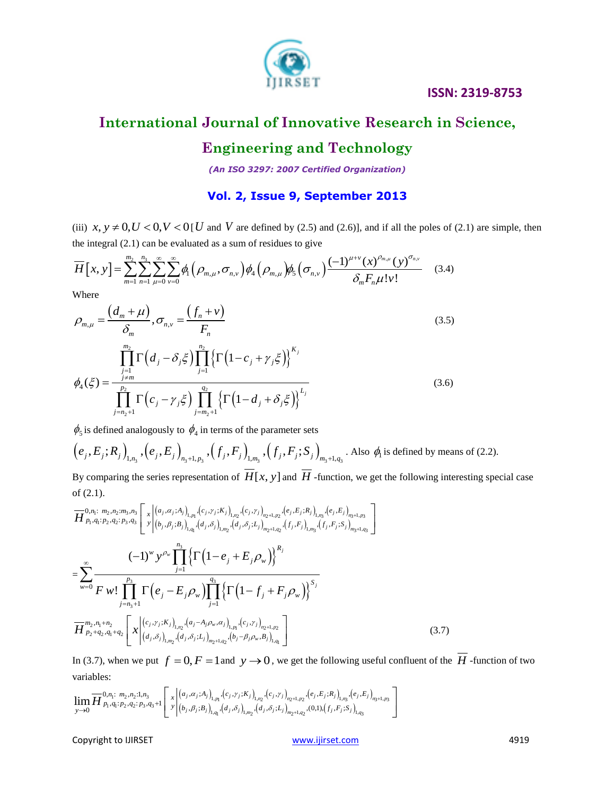

# **International Journal of Innovative Research in Science,**

## **Engineering and Technology**

*(An ISO 3297: 2007 Certified Organization)*

## **Vol. 2, Issue 9, September 2013**

(iii)  $x, y \neq 0, U < 0, V < 0$  [*U* and *V* are defined by (2.5) and (2.6)], and if all the poles of (2.1) are simple, then<br>the integral (2.1) can be evaluated as a sum of residues to give<br> $\overline{H}[x, y] = \sum_{m=1}^{m_2} \sum_{u=0}^{n_3}$ the integral (2.1) can be evaluated as a sum of residues to give be evaluated as a sum of residues to give

(iii) 
$$
x, y \neq 0, U < 0, V < 0
$$
 [*U* and *V* are defined by (2.5) and (2.6)], and if all the poles of the integral (2.1) can be evaluated as a sum of residues to give\n
$$
\overline{H}\left[x, y\right] = \sum_{m=1}^{m_2} \sum_{n=1}^{n_3} \sum_{\mu=0}^{\infty} \sum_{\nu=0}^{\infty} \phi_1\left(\rho_{m,\mu}, \sigma_{n,\nu}\right) \phi_4\left(\rho_{m,\mu}\right) \phi_5\left(\sigma_{n,\nu}\right) \frac{(-1)^{\mu+\nu} (x)^{\rho_{m,\mu}} (y)^{\sigma_{n,\nu}}}{\delta_m F_n \mu! \nu!} \qquad (3.4)
$$

Where

where  
\n
$$
\rho_{m,\mu} = \frac{\left(d_m + \mu\right)}{\delta_m}, \sigma_{n,\nu} = \frac{\left(f_n + \nu\right)}{F_n}
$$
\n
$$
\prod_{j=1}^{m_2} \Gamma\left(d_j - \delta_j \xi\right) \prod_{j=1}^{n_2} \left\{\Gamma\left(1 - c_j + \gamma_j \xi\right)\right\}^{K_j}
$$
\n(3.5)

$$
\phi_4(\xi) = \frac{\prod_{j=1}^{j=1} \Gamma(d_j - \delta_j \xi) \prod_{j=1}^{j=1} \{ \Gamma(1 - c_j + \gamma_j \xi) \}}{\prod_{j=n_2+1}^{p_2} \Gamma(c_j - \gamma_j \xi) \prod_{j=m_2+1}^{q_2} \{ \Gamma(1 - d_j + \delta_j \xi) \}}^{L_j}
$$
(3.6)

 $\phi_5$  is defined analogously to  $\phi_4$  in terms of the parameter sets

$$
\phi_5
$$
 is defined analogously to  $\phi_4$  in terms of the parameter sets  
\n $(e_j, E_j; R_j)_{1,n_3}, (e_j, E_j)_{n_3+1,p_3}, (f_j, F_j)_{1,m_3}, (f_j, F_j; S_j)_{m_3+1,q_3}$ . Also  $\phi_i$  is defined by means of (2.2).

By comparing the series representation of  $H[x, y]$  and  $H$  -function, we get the following interesting special case<br>of (2.1).<br> $\frac{1}{H} \sum_{p_1, q_1: p_2, q_2: p_3, q_3} \left[ x \left| \left( a_j, a_j; A_j \right)_{l,p_1}, \left( c_j, r_j; K_j \right)_{l,p_2}, \left( c_j, r_j \right)_{n_$ of (2.1).

of (2.1).  
\n
$$
\overline{H}_{p_1, q_1; p_2, q_2; m_3, n_3}^{0, \eta_1} \left[ x \left| \left( a_j, \alpha_j; A_j \right)_{i, p_1} \left( c_j, \gamma_j; K_j \right)_{i, p_2}, \left( c_j, \gamma_j \right)_{m_2+1, p_2}, \left( e_j, E_j; R_j \right)_{i, p_3}, \left( e_j, E_j \right)_{m_3+1, p_3} \right] \right]
$$
\n
$$
= \sum_{w=0}^{\infty} \frac{(-1)^w y^{\rho_w} \prod_{j=1}^{n_3} \left\{ \Gamma \left( 1 - e_j + E_j \rho_w \right) \right\}^R}{F w! \prod_{j=1}^{p_3} \Gamma \left( e_j - E_j \rho_w \right) \prod_{j=1}^{q_3} \left\{ \Gamma \left( 1 - f_j + F_j \rho_w \right) \right\}^{S_j}} \right]
$$
\n
$$
\overline{H}_{p_2, n_1 + n_2}^{m_2, n_1 + n_2} \left[ x \left| \left( c_j, \gamma_j; K_j \right)_{i, p_2} \left( a_j, \alpha_j; L_j \right)_{i, p_1} \left( c_j; \gamma_j \right) \right|_{j=1}^{S_j}} \right]
$$
\n
$$
\overline{H}_{p_2 + q_2, q_1 + q_2}^{m_2, n_1 + n_2} \left[ x \left| \left( c_j, \gamma_j; K_j \right)_{i, p_2} \left( a_j, \alpha_j; L_j \right)_{m_2+1, q_2} \left( b_j, \gamma_j; B_j \right)_{i, q_1} \right] \right]
$$
\n(3.7)

In (3.7), when we put  $f = 0$ ,  $F = 1$  and  $y \to 0$ , we get the following useful confluent of the  $\overline{H}$  -function of two variables:<br>variables:<br> $\lim_{n \to \infty} \overline{H}_{p_1, q_1; p_2, q_2; p_3, q_3+1}^{0, n_1; m_2, n_2; 1, n_3} \left[ \int_x |(a_j, \alpha$ variables:

variables:  
\n
$$
\lim_{y\to 0} \overline{H}^{0,n_1; m_2,n_2;1,n_3}_{p_1,q_1; p_2,q_2; p_3,q_3+1} \left[ x \Big|^{(a_j,\alpha_j;a_j)}_{(b_j,\beta_j;b_j)_{1,q_1}}(c_j,y_j;k_j)_{1,n_2}(c_j,y_j)_{n_2+1,p_2}(e_j,E_j;k_j)_{1,n_3}(e_j,E_j)_{n_3+1,p_3} \right]
$$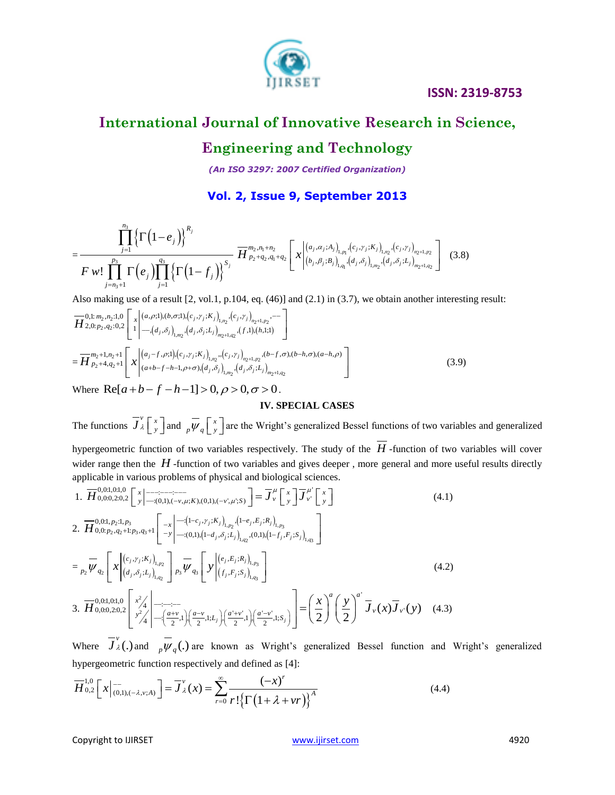

## **International Journal of Innovative Research in Science,**

## **Engineering and Technology**

*(An ISO 3297: 2007 Certified Organization)*

### **Vol. 2, Issue 9, September 2013**

$$
=\frac{\prod_{j=1}^{n_3}\left\{\Gamma\left(1-e_j\right)\right\}^{R_j}}{F\ w! \prod_{j=n_3+1}^{p_3}\Gamma\left(e_j\right)\prod_{j=1}^{q_3}\left\{\Gamma\left(1-f_j\right)\right\}^{S_j}} \frac{\prod_{p_2,q_1+n_2}^{m_2,n_1+n_2}\left[x\left|\begin{array}{l}\left(a_j,a_j;a_j\right)\right\rbrace_{1,p_1},\left(c_j,\gamma_j;k_j\right)_{1,p_2},\left(c_j,\gamma_j\right)_{n_2+1,p_2}}{\left(b_j,\beta_j;s_j\right)_{1,q_1},\left(d_j,\delta_j\right)_{1,m_2},\left(d_j,\delta_j;t_j\right)_{m_2+1,q_2}}\right] \right] (3.8)
$$

Also making use of a result [2, vol.1, p.104, eq. (46)] and (2.1) in (3.7), we obtain another interesting result:  
\n
$$
\overline{H}_{2,0; p_2,q_2:0,2}^{0,1; m_2,n_2:1,0} \left[ x \Big| \begin{array}{l} (a,\rho;1),(b,\sigma;1),(c_j,\gamma_j;K_j)_{1,n_2},(c_j,\gamma_j)_{n_2+1,p_2},--\\ -\Big| \begin{array}{l} -\Big(d_j,\delta_j\Big)_{1,m_2},(d_j,\delta_j;L_j)_{m_2+1,q_2},(f,1),(h,1;1) \end{array} \right] \end{array}
$$
\n
$$
= \overline{H}_{p_2+4,q_2+1}^{m_2+1,n_2+1} \left[ x \Big| \begin{array}{l} (a_j-f,\rho;1),(c_j,\gamma_j;K_j)_{1,n_2},(c_j,\gamma_j)_{n_2+1,n_2},(b-f,\sigma),(b-h,\sigma),(a-h,\rho) \\ (a+b-f-h-1,\rho+\sigma),(d_j,\delta_j)_{1,m_2},(d_j,\delta_j;L_j)_{m_2+1,q_2} \end{array} \right]
$$
\n(3.9)  
\nWhere Re[ $a+b-f-h-1$ ] > 0,  $\rho > 0$ ,  $\sigma > 0$ .

#### **IV. SPECIAL CASES**

The functions  $\overline{J}_{\lambda}^{\nu}$   $\left\lceil \frac{x}{x} \right\rceil$  $J'_\lambda$   $\begin{bmatrix} x \\ y \end{bmatrix}$  and  $\begin{bmatrix} x \\ p \end{bmatrix}$  are the Wright's generalized Bessel functions of two variables and generalized hypergeometric function of two variables respectively. The study of the *H* -function of two variables will cover wider range then the H-function of two variables and gives deeper, more general and more useful results directly

water range then the 
$$
\overrightarrow{H}
$$
-function of two variables and gives deeper, more general and more  
applicable in various problems of physical and biological sciences.  
\n1.  $\overrightarrow{H}_{0,0,0,2,0,2}^{0,0,1,0,1,0} \left[ x \right]_{-(0,1),(-\nu,\mu;K), (0,1),(-\nu^*,\mu;S)}^{-1} = \overrightarrow{J}_{\nu}^{\mu} \left[ x \right] \overrightarrow{J}_{\nu}^{\mu'} \left[ x \right]$   
\n2.  $\overrightarrow{H}_{0,0,2,0,2}^{0,0,1,0,2} \left[ x \right]_{-(0,1),(-\nu,\mu;K), (0,1),(-\nu^*,\mu;S)}^{-1} = \overrightarrow{J}_{\nu}^{\mu} \left[ x \right] \overrightarrow{J}_{\nu}^{\mu'} \left[ x \right]$   
\n2.  $\overrightarrow{H}_{0,0,2,2}^{0,0,1,0,2} \left[ x \right]_{-\overrightarrow{y}}^{-1} \left[ -x \right] - \left[ (-t_{\mu} - t_{\mu}) \cdot \hat{S}_{\mu} \cdot (t_{\mu} - t_{\mu}) \cdot \hat{S}_{\mu} \right]_{1,\rho_{2}}^{-1} = \sum_{\nu_{2}} \overrightarrow{W}_{q_{2}} \left[ x \right]_{(d_{\mu},\delta_{\mu};L_{\mu})}^{-1} \overrightarrow{W}_{q_{3}} \left[ y \right]_{(f_{\mu},F_{\mu};S_{\mu})}^{-1} \left[ y \right]_{1,\rho_{3}}^{-1} \right]$   
\n3.  $\overrightarrow{H}_{0,0,0,2,0,2}^{0,0,1,0,1,0} \left[ x^{2}_{4} \right]_{-\left(\frac{a+\nu}{2},1\right)}^{-1} \left(\frac{a-\nu}{2},1;L_{\mu}\right) \left(\frac{a-\nu}{2},1;S_{\mu}\right) = \left(\frac{x}{2}\right)^{a} \left(\frac{y}{2}\right)^{a'} \overrightarrow{J}_{\nu}(x) \overrightarrow{J}_{\nu}(y)$  (4.3)

Where  $\overline{J}_{\lambda}^{\nu}$  (.) and  $\overline{\nu}_{q}$  (.) are known as Wright's generalized Bessel function and Wright's generalized hypergeometric function respectively and defined as [4]:

hypergeometric function respectively and defined as [4]:  
\n
$$
\overline{H}_{0,2}^{1,0}\left[x\Big|_{(0,1),(-\lambda,\nu;A)}^{-1}\right] = \overline{J}_{\lambda}^{\nu}(x) = \sum_{r=0}^{\infty} \frac{(-x)^{r}}{r!\left\{\Gamma\left(1+\lambda+vr\right)\right\}^{A}}
$$
\n(4.4)